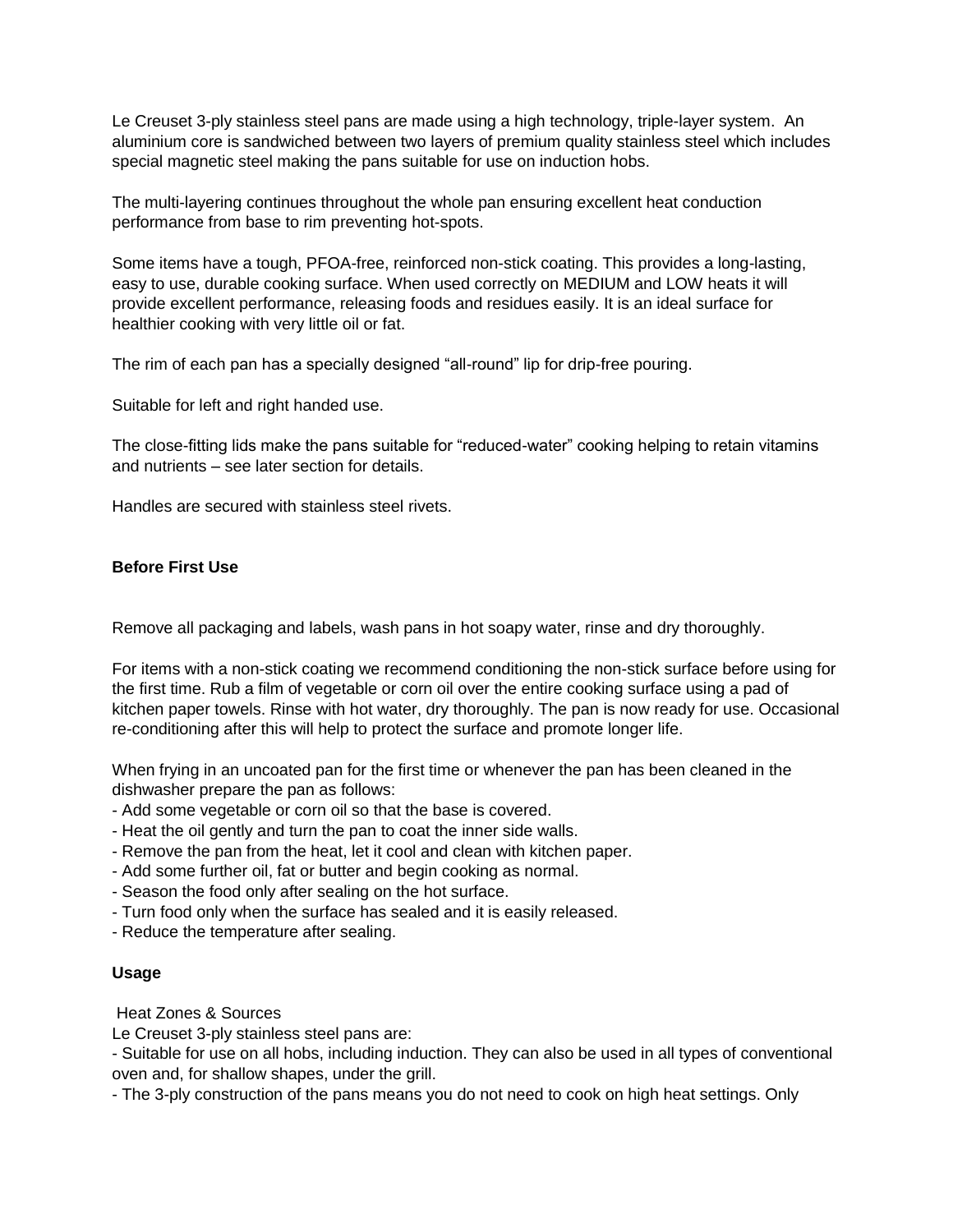Le Creuset 3-ply stainless steel pans are made using a high technology, triple-layer system. An aluminium core is sandwiched between two layers of premium quality stainless steel which includes special magnetic steel making the pans suitable for use on induction hobs.

The multi-layering continues throughout the whole pan ensuring excellent heat conduction performance from base to rim preventing hot-spots.

Some items have a tough, PFOA-free, reinforced non-stick coating. This provides a long-lasting, easy to use, durable cooking surface. When used correctly on MEDIUM and LOW heats it will provide excellent performance, releasing foods and residues easily. It is an ideal surface for healthier cooking with very little oil or fat.

The rim of each pan has a specially designed "all-round" lip for drip-free pouring.

Suitable for left and right handed use.

The close-fitting lids make the pans suitable for "reduced-water" cooking helping to retain vitamins and nutrients – see later section for details.

Handles are secured with stainless steel rivets.

# **Before First Use**

Remove all packaging and labels, wash pans in hot soapy water, rinse and dry thoroughly.

For items with a non-stick coating we recommend conditioning the non-stick surface before using for the first time. Rub a film of vegetable or corn oil over the entire cooking surface using a pad of kitchen paper towels. Rinse with hot water, dry thoroughly. The pan is now ready for use. Occasional re-conditioning after this will help to protect the surface and promote longer life.

When frying in an uncoated pan for the first time or whenever the pan has been cleaned in the dishwasher prepare the pan as follows:

- Add some vegetable or corn oil so that the base is covered.
- Heat the oil gently and turn the pan to coat the inner side walls.
- Remove the pan from the heat, let it cool and clean with kitchen paper.
- Add some further oil, fat or butter and begin cooking as normal.
- Season the food only after sealing on the hot surface.
- Turn food only when the surface has sealed and it is easily released.
- Reduce the temperature after sealing.

# **Usage**

Heat Zones & Sources

Le Creuset 3-ply stainless steel pans are:

- Suitable for use on all hobs, including induction. They can also be used in all types of conventional oven and, for shallow shapes, under the grill.

- The 3-ply construction of the pans means you do not need to cook on high heat settings. Only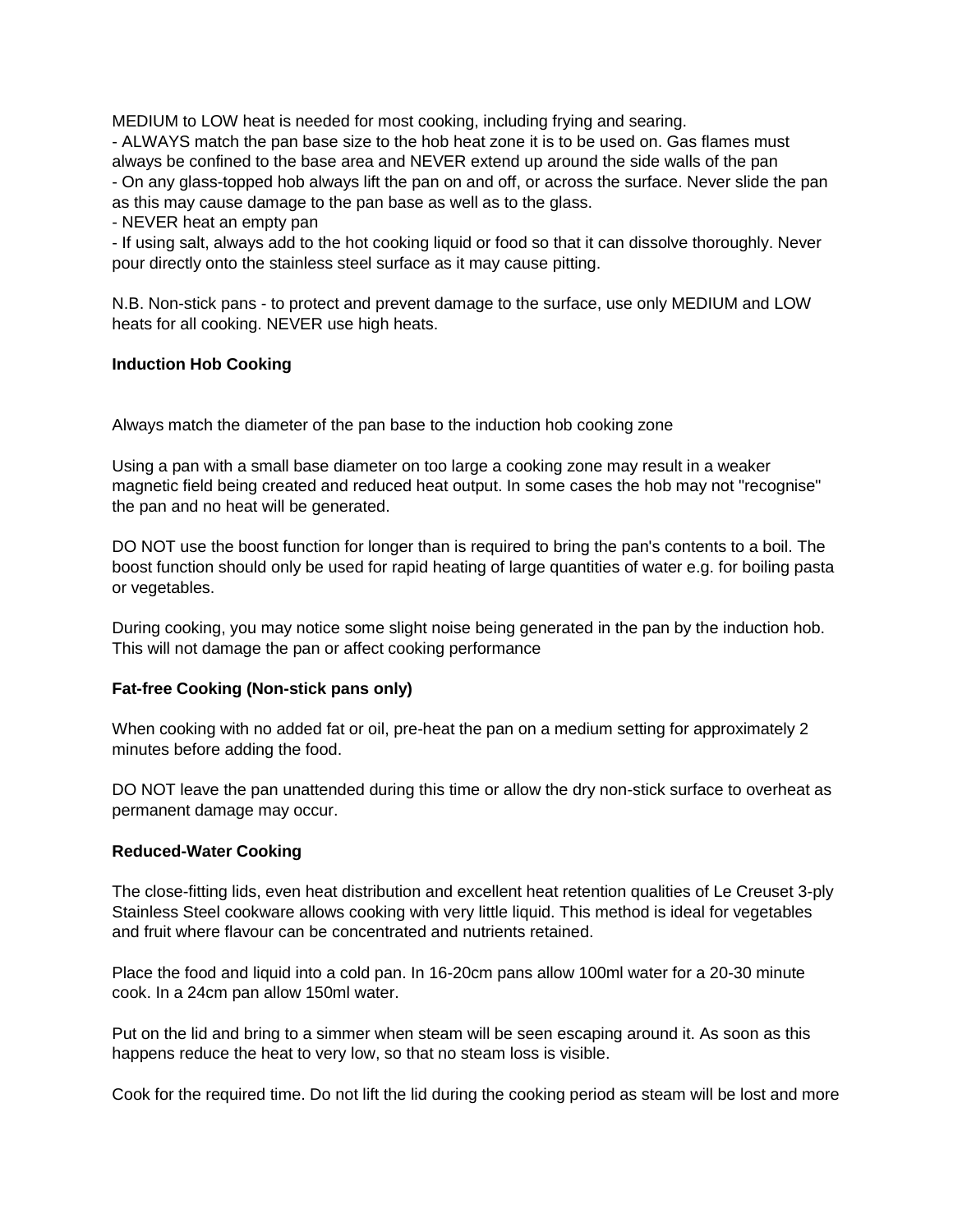MEDIUM to LOW heat is needed for most cooking, including frying and searing.

- ALWAYS match the pan base size to the hob heat zone it is to be used on. Gas flames must always be confined to the base area and NEVER extend up around the side walls of the pan - On any glass-topped hob always lift the pan on and off, or across the surface. Never slide the pan as this may cause damage to the pan base as well as to the glass.

- NEVER heat an empty pan

- If using salt, always add to the hot cooking liquid or food so that it can dissolve thoroughly. Never pour directly onto the stainless steel surface as it may cause pitting.

N.B. Non-stick pans - to protect and prevent damage to the surface, use only MEDIUM and LOW heats for all cooking. NEVER use high heats.

# **Induction Hob Cooking**

Always match the diameter of the pan base to the induction hob cooking zone

Using a pan with a small base diameter on too large a cooking zone may result in a weaker magnetic field being created and reduced heat output. In some cases the hob may not "recognise" the pan and no heat will be generated.

DO NOT use the boost function for longer than is required to bring the pan's contents to a boil. The boost function should only be used for rapid heating of large quantities of water e.g. for boiling pasta or vegetables.

During cooking, you may notice some slight noise being generated in the pan by the induction hob. This will not damage the pan or affect cooking performance

# **Fat-free Cooking (Non-stick pans only)**

When cooking with no added fat or oil, pre-heat the pan on a medium setting for approximately 2 minutes before adding the food.

DO NOT leave the pan unattended during this time or allow the dry non-stick surface to overheat as permanent damage may occur.

# **Reduced-Water Cooking**

The close-fitting lids, even heat distribution and excellent heat retention qualities of Le Creuset 3-ply Stainless Steel cookware allows cooking with very little liquid. This method is ideal for vegetables and fruit where flavour can be concentrated and nutrients retained.

Place the food and liquid into a cold pan. In 16-20cm pans allow 100ml water for a 20-30 minute cook. In a 24cm pan allow 150ml water.

Put on the lid and bring to a simmer when steam will be seen escaping around it. As soon as this happens reduce the heat to very low, so that no steam loss is visible.

Cook for the required time. Do not lift the lid during the cooking period as steam will be lost and more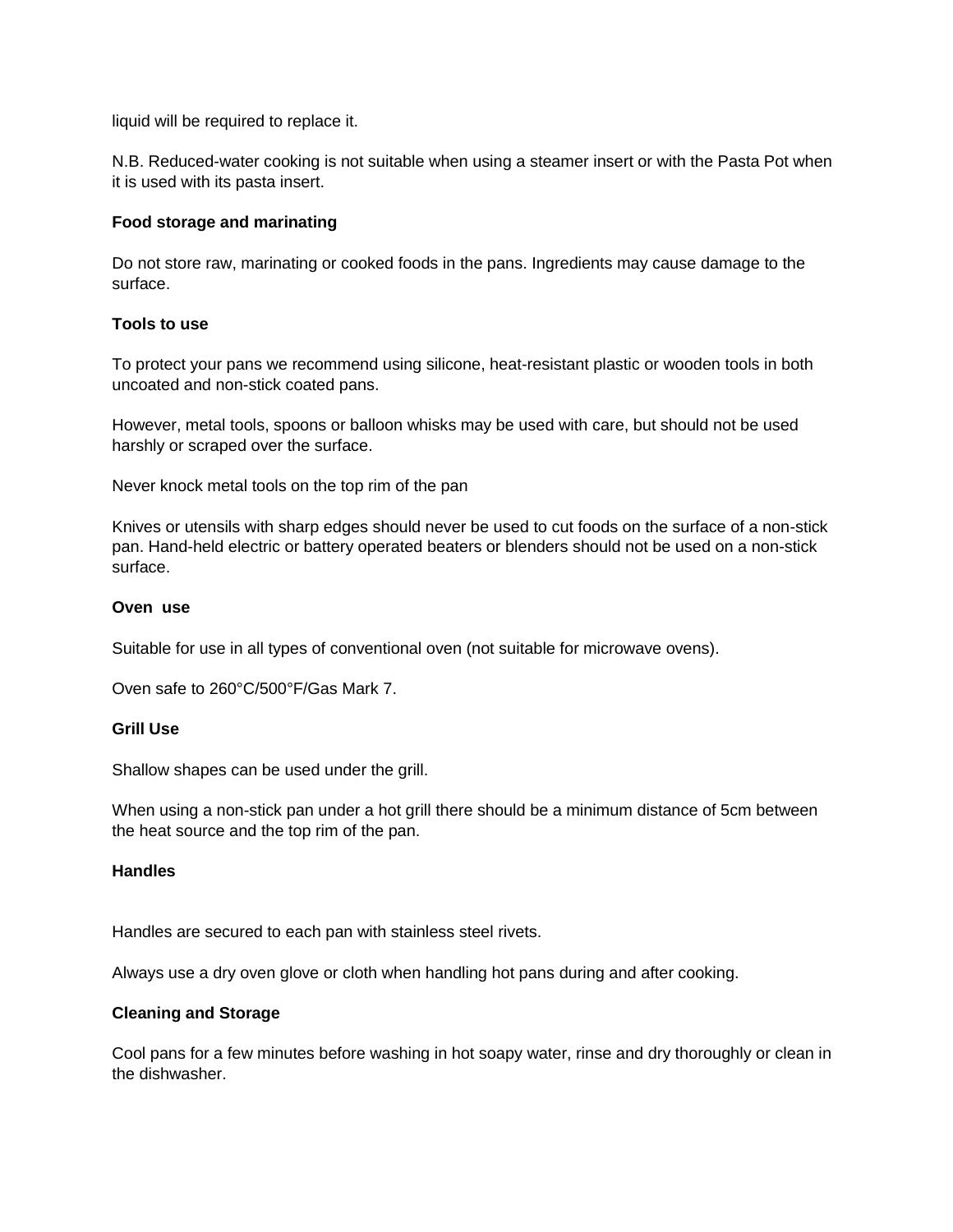liquid will be required to replace it.

N.B. Reduced-water cooking is not suitable when using a steamer insert or with the Pasta Pot when it is used with its pasta insert.

# **Food storage and marinating**

Do not store raw, marinating or cooked foods in the pans. Ingredients may cause damage to the surface.

# **Tools to use**

To protect your pans we recommend using silicone, heat-resistant plastic or wooden tools in both uncoated and non-stick coated pans.

However, metal tools, spoons or balloon whisks may be used with care, but should not be used harshly or scraped over the surface.

Never knock metal tools on the top rim of the pan

Knives or utensils with sharp edges should never be used to cut foods on the surface of a non-stick pan. Hand-held electric or battery operated beaters or blenders should not be used on a non-stick surface.

#### **Oven use**

Suitable for use in all types of conventional oven (not suitable for microwave ovens).

Oven safe to 260°C/500°F/Gas Mark 7.

#### **Grill Use**

Shallow shapes can be used under the grill.

When using a non-stick pan under a hot grill there should be a minimum distance of 5cm between the heat source and the top rim of the pan.

# **Handles**

Handles are secured to each pan with stainless steel rivets.

Always use a dry oven glove or cloth when handling hot pans during and after cooking.

# **Cleaning and Storage**

Cool pans for a few minutes before washing in hot soapy water, rinse and dry thoroughly or clean in the dishwasher.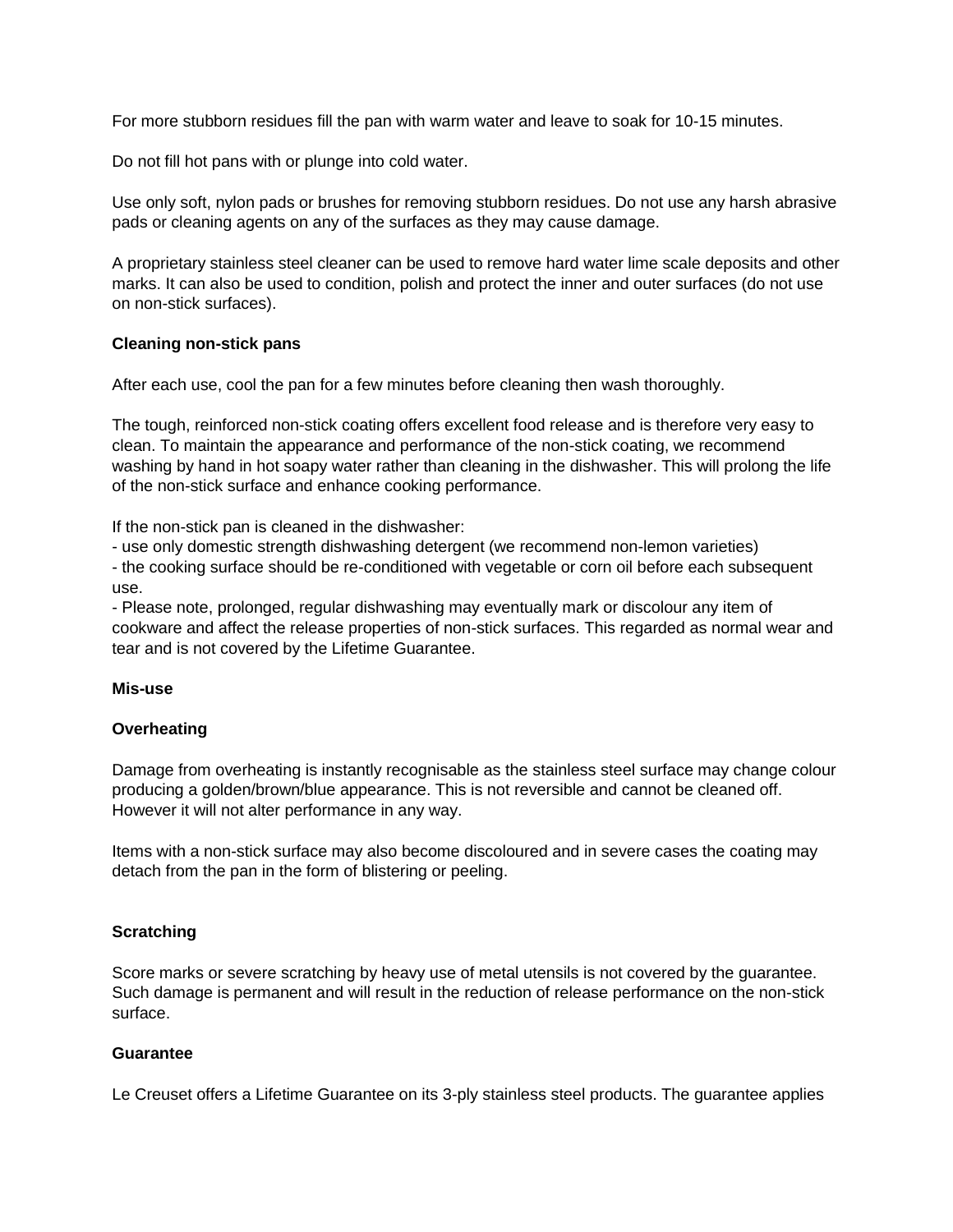For more stubborn residues fill the pan with warm water and leave to soak for 10-15 minutes.

Do not fill hot pans with or plunge into cold water.

Use only soft, nylon pads or brushes for removing stubborn residues. Do not use any harsh abrasive pads or cleaning agents on any of the surfaces as they may cause damage.

A proprietary stainless steel cleaner can be used to remove hard water lime scale deposits and other marks. It can also be used to condition, polish and protect the inner and outer surfaces (do not use on non-stick surfaces).

#### **Cleaning non-stick pans**

After each use, cool the pan for a few minutes before cleaning then wash thoroughly.

The tough, reinforced non-stick coating offers excellent food release and is therefore very easy to clean. To maintain the appearance and performance of the non-stick coating, we recommend washing by hand in hot soapy water rather than cleaning in the dishwasher. This will prolong the life of the non-stick surface and enhance cooking performance.

If the non-stick pan is cleaned in the dishwasher:

- use only domestic strength dishwashing detergent (we recommend non-lemon varieties)

- the cooking surface should be re-conditioned with vegetable or corn oil before each subsequent use.

- Please note, prolonged, regular dishwashing may eventually mark or discolour any item of cookware and affect the release properties of non-stick surfaces. This regarded as normal wear and tear and is not covered by the Lifetime Guarantee.

#### **Mis-use**

# **Overheating**

Damage from overheating is instantly recognisable as the stainless steel surface may change colour producing a golden/brown/blue appearance. This is not reversible and cannot be cleaned off. However it will not alter performance in any way.

Items with a non-stick surface may also become discoloured and in severe cases the coating may detach from the pan in the form of blistering or peeling.

# **Scratching**

Score marks or severe scratching by heavy use of metal utensils is not covered by the guarantee. Such damage is permanent and will result in the reduction of release performance on the non-stick surface.

# **Guarantee**

Le Creuset offers a Lifetime Guarantee on its 3-ply stainless steel products. The guarantee applies